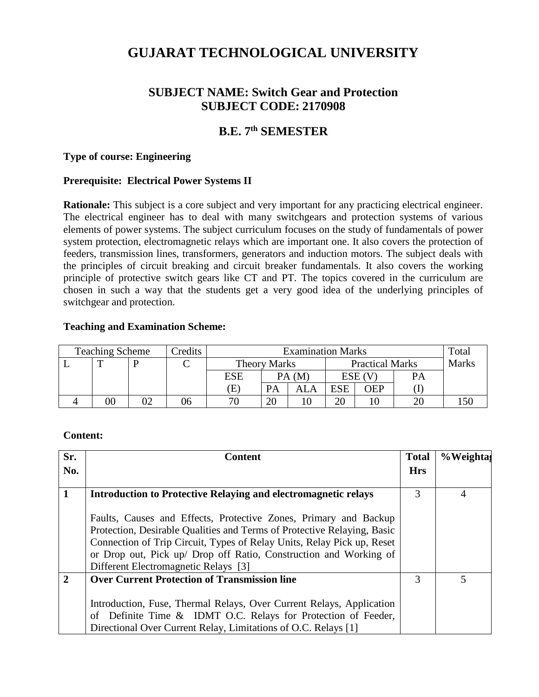# **GUJARAT TECHNOLOGICAL UNIVERSITY**

# **SUBJECT NAME: Switch Gear and Protection SUBJECT CODE: 2170908**

# **B.E. 7 th SEMESTER**

### **Type of course: Engineering**

### **Prerequisite: Electrical Power Systems II**

**Rationale:** This subject is a core subject and very important for any practicing electrical engineer. The electrical engineer has to deal with many switchgears and protection systems of various elements of power systems. The subject curriculum focuses on the study of fundamentals of power system protection, electromagnetic relays which are important one. It also covers the protection of feeders, transmission lines, transformers, generators and induction motors. The subject deals with the principles of circuit breaking and circuit breaker fundamentals. It also covers the working principle of protective switch gears like CT and PT. The topics covered in the curriculum are chosen in such a way that the students get a very good idea of the underlying principles of switchgear and protection.

### **Teaching and Examination Scheme:**

| <b>Teaching Scheme</b> |    | Credits | <b>Examination Marks</b> |                     |                |                        |            | Total        |    |     |
|------------------------|----|---------|--------------------------|---------------------|----------------|------------------------|------------|--------------|----|-----|
|                        | m  |         |                          | <b>Theory Marks</b> |                | <b>Practical Marks</b> |            | <b>Marks</b> |    |     |
|                        |    |         |                          | ESE                 | PA (M          |                        | ESE (      |              | PА |     |
|                        |    |         |                          | Έ                   | <b>PA</b>      |                        | <b>ESE</b> | ЭEP          |    |     |
|                        | 00 |         | სხ                       | 70                  | $\gamma$<br>ZU |                        | 20         |              |    | 150 |

### **Content:**

| Sr.            | <b>Content</b>                                                                                                                                                                                                                                                                                                                     | <b>Total</b> | %Weighta                 |
|----------------|------------------------------------------------------------------------------------------------------------------------------------------------------------------------------------------------------------------------------------------------------------------------------------------------------------------------------------|--------------|--------------------------|
| No.            |                                                                                                                                                                                                                                                                                                                                    | <b>Hrs</b>   |                          |
| 1              | <b>Introduction to Protective Relaying and electromagnetic relays</b>                                                                                                                                                                                                                                                              | 3            | 4                        |
|                | Faults, Causes and Effects, Protective Zones, Primary and Backup<br>Protection, Desirable Qualities and Terms of Protective Relaying, Basic<br>Connection of Trip Circuit, Types of Relay Units, Relay Pick up, Reset<br>or Drop out, Pick up/ Drop off Ratio, Construction and Working of<br>Different Electromagnetic Relays [3] |              |                          |
| $\overline{2}$ | <b>Over Current Protection of Transmission line</b>                                                                                                                                                                                                                                                                                |              | $\overline{\mathcal{L}}$ |
|                | Introduction, Fuse, Thermal Relays, Over Current Relays, Application<br>of Definite Time & IDMT O.C. Relays for Protection of Feeder,<br>Directional Over Current Relay, Limitations of O.C. Relays [1]                                                                                                                            |              |                          |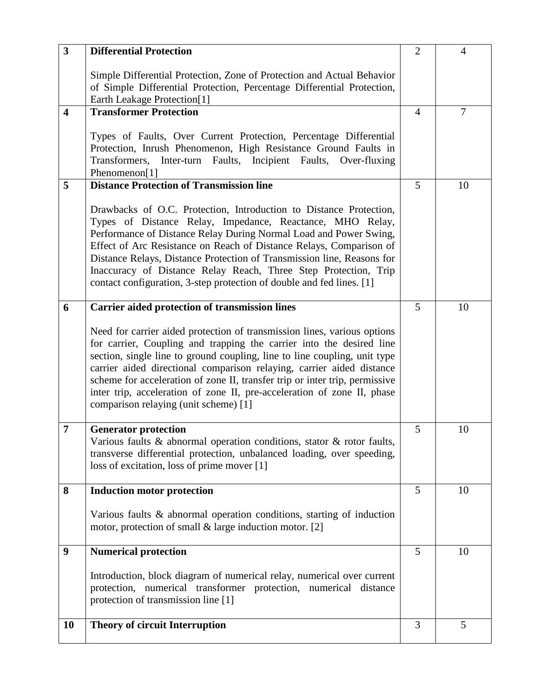| $\overline{\mathbf{3}}$ | <b>Differential Protection</b>                                                                                                                                                                                                                                                                                                                                                                                                                                                                            | $\overline{2}$ | $\overline{4}$ |
|-------------------------|-----------------------------------------------------------------------------------------------------------------------------------------------------------------------------------------------------------------------------------------------------------------------------------------------------------------------------------------------------------------------------------------------------------------------------------------------------------------------------------------------------------|----------------|----------------|
|                         | Simple Differential Protection, Zone of Protection and Actual Behavior<br>of Simple Differential Protection, Percentage Differential Protection,<br>Earth Leakage Protection[1]                                                                                                                                                                                                                                                                                                                           |                |                |
| $\overline{\mathbf{4}}$ | <b>Transformer Protection</b>                                                                                                                                                                                                                                                                                                                                                                                                                                                                             | $\overline{4}$ | $\tau$         |
|                         | Types of Faults, Over Current Protection, Percentage Differential<br>Protection, Inrush Phenomenon, High Resistance Ground Faults in<br>Inter-turn Faults,<br>Incipient Faults, Over-fluxing<br>Transformers,<br>Phenomenon[1]                                                                                                                                                                                                                                                                            |                |                |
| 5                       | <b>Distance Protection of Transmission line</b>                                                                                                                                                                                                                                                                                                                                                                                                                                                           | 5              | 10             |
|                         | Drawbacks of O.C. Protection, Introduction to Distance Protection,<br>Types of Distance Relay, Impedance, Reactance, MHO Relay,<br>Performance of Distance Relay During Normal Load and Power Swing,<br>Effect of Arc Resistance on Reach of Distance Relays, Comparison of<br>Distance Relays, Distance Protection of Transmission line, Reasons for<br>Inaccuracy of Distance Relay Reach, Three Step Protection, Trip<br>contact configuration, 3-step protection of double and fed lines. [1]         |                |                |
| 6                       | <b>Carrier aided protection of transmission lines</b>                                                                                                                                                                                                                                                                                                                                                                                                                                                     | 5              | 10             |
|                         | Need for carrier aided protection of transmission lines, various options<br>for carrier, Coupling and trapping the carrier into the desired line<br>section, single line to ground coupling, line to line coupling, unit type<br>carrier aided directional comparison relaying, carrier aided distance<br>scheme for acceleration of zone II, transfer trip or inter trip, permissive<br>inter trip, acceleration of zone II, pre-acceleration of zone II, phase<br>comparison relaying (unit scheme) [1] |                |                |
| $\overline{7}$          | <b>Generator protection</b><br>Various faults $\&$ abnormal operation conditions, stator $\&$ rotor faults,<br>transverse differential protection, unbalanced loading, over speeding,<br>loss of excitation, loss of prime mover [1]                                                                                                                                                                                                                                                                      | 5              | 10             |
| 8                       | <b>Induction motor protection</b>                                                                                                                                                                                                                                                                                                                                                                                                                                                                         | 5              | 10             |
|                         | Various faults & abnormal operation conditions, starting of induction<br>motor, protection of small $\&$ large induction motor. [2]                                                                                                                                                                                                                                                                                                                                                                       |                |                |
| 9                       | <b>Numerical protection</b>                                                                                                                                                                                                                                                                                                                                                                                                                                                                               | 5              | 10             |
|                         | Introduction, block diagram of numerical relay, numerical over current<br>protection, numerical transformer protection, numerical distance<br>protection of transmission line [1]                                                                                                                                                                                                                                                                                                                         |                |                |
| 10                      | <b>Theory of circuit Interruption</b>                                                                                                                                                                                                                                                                                                                                                                                                                                                                     | 3              | 5              |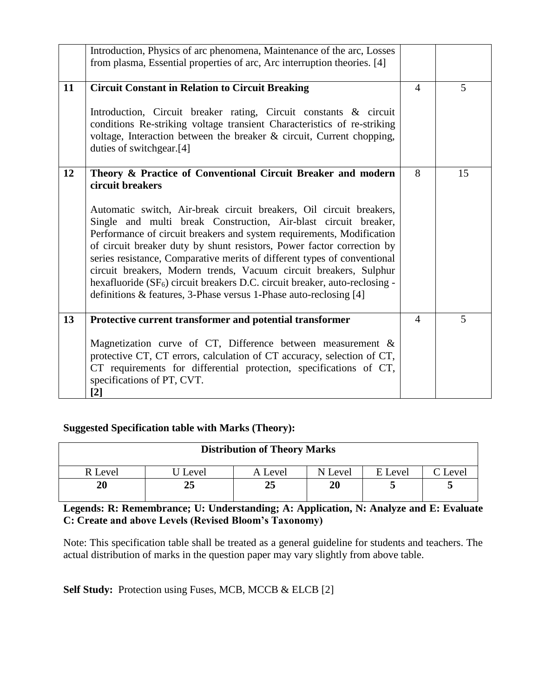|    | Introduction, Physics of arc phenomena, Maintenance of the arc, Losses<br>from plasma, Essential properties of arc, Arc interruption theories. [4]                                                                                                                                                                                                                                                                                                                                                                                                                                                                                                                                             |                |    |
|----|------------------------------------------------------------------------------------------------------------------------------------------------------------------------------------------------------------------------------------------------------------------------------------------------------------------------------------------------------------------------------------------------------------------------------------------------------------------------------------------------------------------------------------------------------------------------------------------------------------------------------------------------------------------------------------------------|----------------|----|
| 11 | <b>Circuit Constant in Relation to Circuit Breaking</b><br>Introduction, Circuit breaker rating, Circuit constants & circuit<br>conditions Re-striking voltage transient Characteristics of re-striking<br>voltage, Interaction between the breaker & circuit, Current chopping,<br>duties of switchgear.[4]                                                                                                                                                                                                                                                                                                                                                                                   | $\overline{4}$ | 5  |
| 12 | Theory & Practice of Conventional Circuit Breaker and modern<br>circuit breakers<br>Automatic switch, Air-break circuit breakers, Oil circuit breakers,<br>Single and multi break Construction, Air-blast circuit breaker,<br>Performance of circuit breakers and system requirements, Modification<br>of circuit breaker duty by shunt resistors, Power factor correction by<br>series resistance, Comparative merits of different types of conventional<br>circuit breakers, Modern trends, Vacuum circuit breakers, Sulphur<br>hexafluoride (SF <sub>6</sub> ) circuit breakers D.C. circuit breaker, auto-reclosing -<br>definitions & features, 3-Phase versus 1-Phase auto-reclosing [4] | 8              | 15 |
| 13 | Protective current transformer and potential transformer<br>Magnetization curve of CT, Difference between measurement $\&$<br>protective CT, CT errors, calculation of CT accuracy, selection of CT,<br>CT requirements for differential protection, specifications of CT,<br>specifications of PT, CVT.<br>$[2]$                                                                                                                                                                                                                                                                                                                                                                              | $\overline{4}$ | 5  |

# **Suggested Specification table with Marks (Theory):**

| <b>Distribution of Theory Marks</b> |         |         |         |         |         |  |  |
|-------------------------------------|---------|---------|---------|---------|---------|--|--|
| R Level                             | J Level | A Level | N Level | E Level | C Level |  |  |
| 20                                  |         | 25      | 20      |         |         |  |  |

**Legends: R: Remembrance; U: Understanding; A: Application, N: Analyze and E: Evaluate C: Create and above Levels (Revised Bloom's Taxonomy)**

Note: This specification table shall be treated as a general guideline for students and teachers. The actual distribution of marks in the question paper may vary slightly from above table.

Self Study: Protection using Fuses, MCB, MCCB & ELCB [2]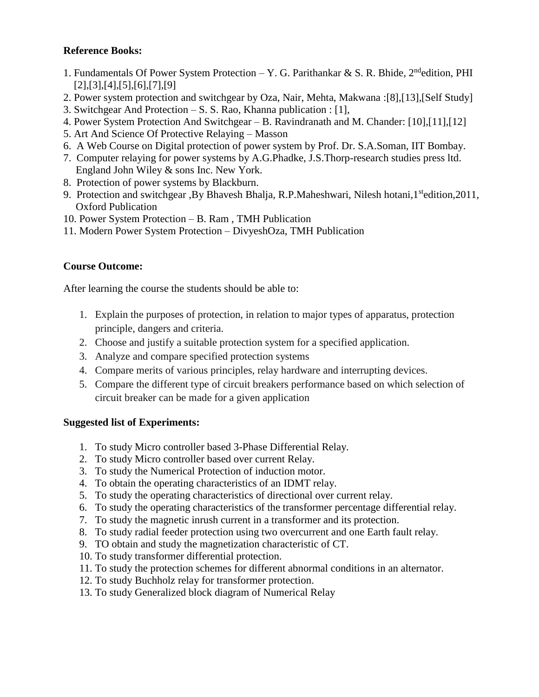### **Reference Books:**

- 1. Fundamentals Of Power System Protection Y. G. Parithankar & S. R. Bhide, 2<sup>nd</sup>edition, PHI [2],[3],[4],[5],[6],[7],[9]
- 2. Power system protection and switchgear by Oza, Nair, Mehta, Makwana :[8],[13],[Self Study]
- 3. Switchgear And Protection S. S. Rao, Khanna publication : [1],
- 4. Power System Protection And Switchgear B. Ravindranath and M. Chander: [10],[11],[12]
- 5. Art And Science Of Protective Relaying Masson
- 6. A Web Course on Digital protection of power system by Prof. Dr. S.A.Soman, IIT Bombay.
- 7. Computer relaying for power systems by A.G.Phadke, J.S.Thorp-research studies press ltd. England John Wiley & sons Inc. New York.
- 8. Protection of power systems by Blackburn.
- 9. Protection and switchgear ,By Bhavesh Bhalja, R.P.Maheshwari, Nilesh hotani, 1<sup>st</sup>edition, 2011, Oxford Publication
- 10. Power System Protection B. Ram , TMH Publication
- 11. Modern Power System Protection DivyeshOza, TMH Publication

## **Course Outcome:**

After learning the course the students should be able to:

- 1. Explain the purposes of protection, in relation to major types of apparatus, protection principle, dangers and criteria.
- 2. Choose and justify a suitable protection system for a specified application.
- 3. Analyze and compare specified protection systems
- 4. Compare merits of various principles, relay hardware and interrupting devices.
- 5. Compare the different type of circuit breakers performance based on which selection of circuit breaker can be made for a given application

### **Suggested list of Experiments:**

- 1. To study Micro controller based 3-Phase Differential Relay.
- 2. To study Micro controller based over current Relay.
- 3. To study the Numerical Protection of induction motor.
- 4. To obtain the operating characteristics of an IDMT relay.
- 5. To study the operating characteristics of directional over current relay.
- 6. To study the operating characteristics of the transformer percentage differential relay.
- 7. To study the magnetic inrush current in a transformer and its protection.
- 8. To study radial feeder protection using two overcurrent and one Earth fault relay.
- 9. TO obtain and study the magnetization characteristic of CT.
- 10. To study transformer differential protection.
- 11. To study the protection schemes for different abnormal conditions in an alternator.
- 12. To study Buchholz relay for transformer protection.
- 13. To study Generalized block diagram of Numerical Relay